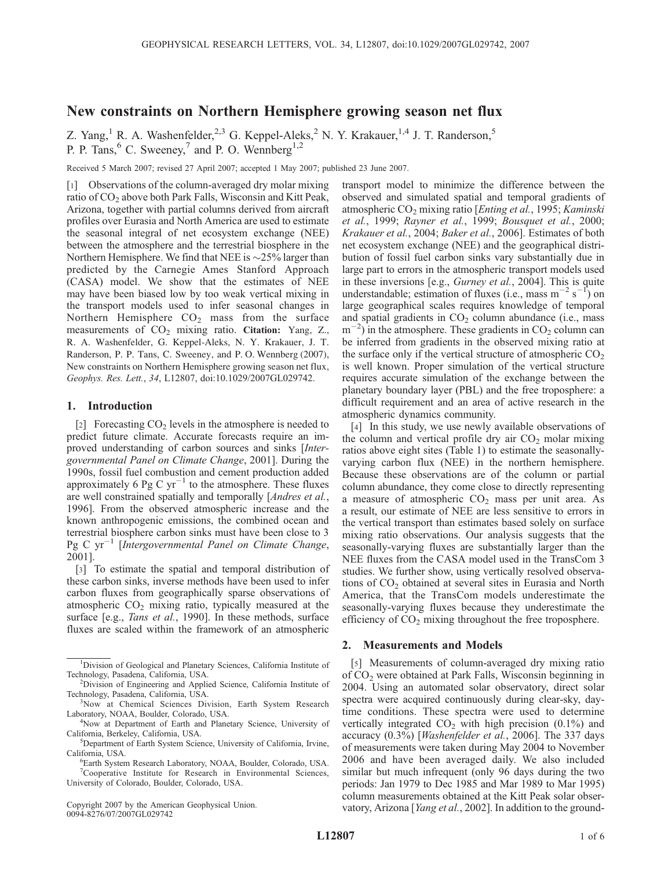# New constraints on Northern Hemisphere growing season net flux

Z. Yang,<sup>1</sup> R. A. Washenfelder,<sup>2,3</sup> G. Keppel-Aleks,<sup>2</sup> N. Y. Krakauer,<sup>1,4</sup> J. T. Randerson,<sup>5</sup> P. P. Tans,  $6^{\circ}$  C. Sweeney,<sup>7</sup> and P. O. Wennberg<sup>1,2</sup>

Received 5 March 2007; revised 27 April 2007; accepted 1 May 2007; published 23 June 2007.

[1] Observations of the column-averaged dry molar mixing ratio of CO<sub>2</sub> above both Park Falls, Wisconsin and Kitt Peak, Arizona, together with partial columns derived from aircraft profiles over Eurasia and North America are used to estimate the seasonal integral of net ecosystem exchange (NEE) between the atmosphere and the terrestrial biosphere in the Northern Hemisphere. We find that NEE is  $\sim$ 25% larger than predicted by the Carnegie Ames Stanford Approach (CASA) model. We show that the estimates of NEE may have been biased low by too weak vertical mixing in the transport models used to infer seasonal changes in Northern Hemisphere  $CO<sub>2</sub>$  mass from the surface measurements of  $CO<sub>2</sub>$  mixing ratio. Citation: Yang, Z., R. A. Washenfelder, G. Keppel-Aleks, N. Y. Krakauer, J. T. Randerson, P. P. Tans, C. Sweeney, and P. O. Wennberg (2007), New constraints on Northern Hemisphere growing season net flux, Geophys. Res. Lett., 34, L12807, doi:10.1029/2007GL029742.

### 1. Introduction

[2] Forecasting  $CO<sub>2</sub>$  levels in the atmosphere is needed to predict future climate. Accurate forecasts require an improved understanding of carbon sources and sinks [Intergovernmental Panel on Climate Change, 2001]. During the 1990s, fossil fuel combustion and cement production added approximately 6 Pg C  $yr^{-1}$  to the atmosphere. These fluxes are well constrained spatially and temporally [Andres et al., 1996]. From the observed atmospheric increase and the known anthropogenic emissions, the combined ocean and terrestrial biosphere carbon sinks must have been close to 3 Pg C yr<sup>-1</sup> [Intergovernmental Panel on Climate Change, 2001].

[3] To estimate the spatial and temporal distribution of these carbon sinks, inverse methods have been used to infer carbon fluxes from geographically sparse observations of atmospheric  $CO<sub>2</sub>$  mixing ratio, typically measured at the surface [e.g., *Tans et al.*, 1990]. In these methods, surface fluxes are scaled within the framework of an atmospheric

Copyright 2007 by the American Geophysical Union. 0094-8276/07/2007GL029742

transport model to minimize the difference between the observed and simulated spatial and temporal gradients of atmospheric CO<sub>2</sub> mixing ratio [Enting et al., 1995; Kaminski et al., 1999; Rayner et al., 1999; Bousquet et al., 2000; Krakauer et al., 2004; Baker et al., 2006]. Estimates of both net ecosystem exchange (NEE) and the geographical distribution of fossil fuel carbon sinks vary substantially due in large part to errors in the atmospheric transport models used in these inversions [e.g., Gurney et al., 2004]. This is quite understandable; estimation of fluxes (i.e., mass  $m^{-2}$  s<sup>-1</sup>) on large geographical scales requires knowledge of temporal and spatial gradients in  $CO<sub>2</sub>$  column abundance (i.e., mass  $(m^{-2})$  in the atmosphere. These gradients in CO<sub>2</sub> column can be inferred from gradients in the observed mixing ratio at the surface only if the vertical structure of atmospheric  $CO<sub>2</sub>$ is well known. Proper simulation of the vertical structure requires accurate simulation of the exchange between the planetary boundary layer (PBL) and the free troposphere: a difficult requirement and an area of active research in the atmospheric dynamics community.

[4] In this study, we use newly available observations of the column and vertical profile dry air  $CO<sub>2</sub>$  molar mixing ratios above eight sites (Table 1) to estimate the seasonallyvarying carbon flux (NEE) in the northern hemisphere. Because these observations are of the column or partial column abundance, they come close to directly representing a measure of atmospheric  $CO<sub>2</sub>$  mass per unit area. As a result, our estimate of NEE are less sensitive to errors in the vertical transport than estimates based solely on surface mixing ratio observations. Our analysis suggests that the seasonally-varying fluxes are substantially larger than the NEE fluxes from the CASA model used in the TransCom 3 studies. We further show, using vertically resolved observations of  $CO<sub>2</sub>$  obtained at several sites in Eurasia and North America, that the TransCom models underestimate the seasonally-varying fluxes because they underestimate the efficiency of  $CO<sub>2</sub>$  mixing throughout the free troposphere.

#### 2. Measurements and Models

[5] Measurements of column-averaged dry mixing ratio of CO2 were obtained at Park Falls, Wisconsin beginning in 2004. Using an automated solar observatory, direct solar spectra were acquired continuously during clear-sky, daytime conditions. These spectra were used to determine vertically integrated  $CO<sub>2</sub>$  with high precision (0.1%) and accuracy (0.3%) [Washenfelder et al., 2006]. The 337 days of measurements were taken during May 2004 to November 2006 and have been averaged daily. We also included similar but much infrequent (only 96 days during the two periods: Jan 1979 to Dec 1985 and Mar 1989 to Mar 1995) column measurements obtained at the Kitt Peak solar observatory, Arizona [Yang et al., 2002]. In addition to the ground-

<sup>&</sup>lt;sup>1</sup>Division of Geological and Planetary Sciences, California Institute of Technology, Pasadena, California, USA. <sup>2</sup>

<sup>&</sup>lt;sup>2</sup>Division of Engineering and Applied Science, California Institute of Technology, Pasadena, California, USA. <sup>3</sup>

<sup>&</sup>lt;sup>3</sup>Now at Chemical Sciences Division, Earth System Research Laboratory, NOAA, Boulder, Colorado, USA. <sup>4</sup>

<sup>&</sup>lt;sup>4</sup>Now at Department of Earth and Planetary Science, University of California, Berkeley, California, USA. <sup>5</sup>

<sup>&</sup>lt;sup>5</sup>Department of Earth System Science, University of California, Irvine, California, USA.

Earth System Research Laboratory, NOAA, Boulder, Colorado, USA. 7 Cooperative Institute for Research in Environmental Sciences, University of Colorado, Boulder, Colorado, USA.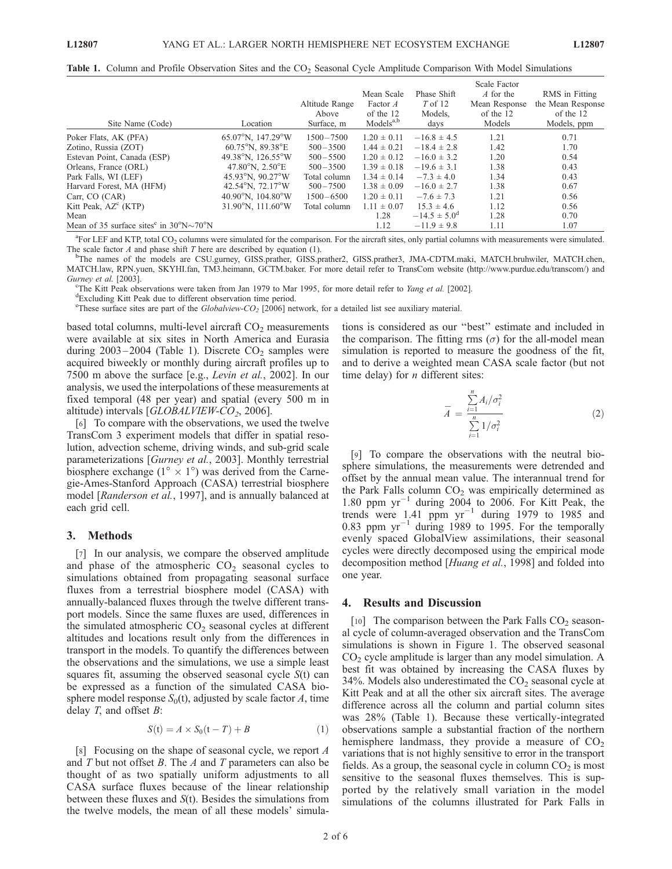| Site Name (Code)                                                                 | Location                                                | Altitude Range<br>Above<br>Surface, m | Mean Scale<br>Factor A<br>of the 12<br>Models <sup>a,b</sup> | Phase Shift<br>$T \circ f 12$<br>Models,<br>days | <b>Deale</b> I actor<br>A for the<br>Mean Response<br>of the 12<br>Models | RMS in Fitting<br>the Mean Response<br>of the 12<br>Models, ppm |
|----------------------------------------------------------------------------------|---------------------------------------------------------|---------------------------------------|--------------------------------------------------------------|--------------------------------------------------|---------------------------------------------------------------------------|-----------------------------------------------------------------|
| Poker Flats, AK (PFA)                                                            | $65.07^{\circ}$ N, 147.29°W                             | $1500 - 7500$                         | $1.20 \pm 0.11$                                              | $-16.8 \pm 4.5$                                  | 1.21                                                                      | 0.71                                                            |
| Zotino, Russia (ZOT)                                                             | $60.75^{\circ}$ N, $89.38^{\circ}$ E                    | $500 - 3500$                          | $1.44 \pm 0.21$                                              | $-18.4 \pm 2.8$                                  | 1.42                                                                      | 1.70                                                            |
| Estevan Point, Canada (ESP)                                                      | 49.38°N, 126.55°W                                       | $500 - 5500$                          | $1.20 \pm 0.12$                                              | $-16.0 \pm 3.2$                                  | 1.20                                                                      | 0.54                                                            |
| Orleans, France (ORL)                                                            | 47.80 $^{\circ}$ N, 2.50 $^{\circ}$ E                   | $500 - 3500$                          | $1.39 \pm 0.18$                                              | $-19.6 \pm 3.1$                                  | 1.38                                                                      | 0.43                                                            |
| Park Falls, WI (LEF)                                                             | 45.93 $\mathrm{^{\circ}N}$ , 90.27 $\mathrm{^{\circ}W}$ | Total column                          | $1.34 \pm 0.14$                                              | $-7.3 \pm 4.0$                                   | 1.34                                                                      | 0.43                                                            |
| Harvard Forest, MA (HFM)                                                         | 42.54 $\mathrm{N}$ , 72.17 $\mathrm{W}$                 | $500 - 7500$                          | $1.38 \pm 0.09$                                              | $-16.0 \pm 2.7$                                  | 1.38                                                                      | 0.67                                                            |
| Carr, CO (CAR)                                                                   | $40.90^{\circ}$ N. $104.80^{\circ}$ W                   | $1500 - 6500$                         | $1.20 \pm 0.11$                                              | $-7.6 \pm 7.3$                                   | 1.21                                                                      | 0.56                                                            |
| Kitt Peak, $AZ^c$ (KTP)                                                          | $31.90^{\circ}$ N. $111.60^{\circ}$ W                   | Total column                          | $1.11 \pm 0.07$                                              | $15.3 \pm 4.6$                                   | 1.12                                                                      | 0.56                                                            |
| Mean                                                                             |                                                         |                                       | 1.28                                                         | $-14.5 \pm 5.0$ <sup>d</sup>                     | 1.28                                                                      | 0.70                                                            |
| Mean of 35 surface sites <sup>e</sup> in $30^{\circ}$ N $\sim$ 70 <sup>o</sup> N |                                                         |                                       | 1.12                                                         | $-11.9 \pm 9.8$                                  | 1.11                                                                      | 1.07                                                            |

 ${}^{a}$ For LEF and KTP, total CO<sub>2</sub> columns were simulated for the comparison. For the aircraft sites, only partial columns with measurements were simulated. The scale factor  $A$  and phase shift  $T$  here are described by equation (1).

The names of the models are CSU.gurney, GISS.prather, GISS.prather2, GISS.prather3, JMA-CDTM.maki, MATCH.bruhwiler, MATCH.chen, MATCH.law, RPN.yuen, SKYHI.fan, TM3.heimann, GCTM.baker. For more detail refer to TransCom website (http://www.purdue.edu/transcom/) and Gurney et al. [2003].

<sup>c</sup>The Kitt Peak observations were taken from Jan 1979 to Mar 1995, for more detail refer to *Yang et al.* [2002].

Excluding Kitt Peak due to different observation time period.

<sup>e</sup>These surface sites are part of the *Globalview-CO<sub>2</sub>* [2006] network, for a detailed list see auxiliary material.

based total columns, multi-level aircraft  $CO<sub>2</sub>$  measurements were available at six sites in North America and Eurasia during  $2003 - 2004$  (Table 1). Discrete  $CO<sub>2</sub>$  samples were acquired biweekly or monthly during aircraft profiles up to 7500 m above the surface [e.g., Levin et al., 2002]. In our analysis, we used the interpolations of these measurements at fixed temporal (48 per year) and spatial (every 500 m in altitude) intervals [ $GLOBALVIEW-CO<sub>2</sub>$ , 2006].

[6] To compare with the observations, we used the twelve TransCom 3 experiment models that differ in spatial resolution, advection scheme, driving winds, and sub-grid scale parameterizations [Gurney et al., 2003]. Monthly terrestrial biosphere exchange ( $1^{\circ} \times 1^{\circ}$ ) was derived from the Carnegie-Ames-Stanford Approach (CASA) terrestrial biosphere model [Randerson et al., 1997], and is annually balanced at each grid cell.

## 3. Methods

[7] In our analysis, we compare the observed amplitude and phase of the atmospheric  $CO<sub>2</sub>$  seasonal cycles to simulations obtained from propagating seasonal surface fluxes from a terrestrial biosphere model (CASA) with annually-balanced fluxes through the twelve different transport models. Since the same fluxes are used, differences in the simulated atmospheric  $CO<sub>2</sub>$  seasonal cycles at different altitudes and locations result only from the differences in transport in the models. To quantify the differences between the observations and the simulations, we use a simple least squares fit, assuming the observed seasonal cycle S(t) can be expressed as a function of the simulated CASA biosphere model response  $S_0(t)$ , adjusted by scale factor A, time delay  $T$ , and offset  $B$ :

$$
S(t) = A \times S_0(t - T) + B \tag{1}
$$

[8] Focusing on the shape of seasonal cycle, we report A and  $T$  but not offset  $B$ . The  $A$  and  $T$  parameters can also be thought of as two spatially uniform adjustments to all CASA surface fluxes because of the linear relationship between these fluxes and S(t). Besides the simulations from the twelve models, the mean of all these models' simulations is considered as our ''best'' estimate and included in the comparison. The fitting rms  $(\sigma)$  for the all-model mean simulation is reported to measure the goodness of the fit, and to derive a weighted mean CASA scale factor (but not time delay) for  $n$  different sites:

Scale Factor

$$
\overline{A} = \frac{\sum\limits_{i=1}^{n} A_i / \sigma_i^2}{\sum\limits_{i=1}^{n} 1 / \sigma_i^2}
$$
 (2)

[9] To compare the observations with the neutral biosphere simulations, the measurements were detrended and offset by the annual mean value. The interannual trend for the Park Falls column  $CO<sub>2</sub>$  was empirically determined as 1.80 ppm  $yr^{-1}$  during 2004 to 2006. For Kitt Peak, the trends were  $1.41$  ppm  $yr^{-1}$  during 1979 to 1985 and  $0.83$  ppm yr<sup>-1</sup> during 1989 to 1995. For the temporally evenly spaced GlobalView assimilations, their seasonal cycles were directly decomposed using the empirical mode decomposition method [Huang et al., 1998] and folded into one year.

## 4. Results and Discussion

[10] The comparison between the Park Falls  $CO<sub>2</sub>$  seasonal cycle of column-averaged observation and the TransCom simulations is shown in Figure 1. The observed seasonal  $CO<sub>2</sub>$  cycle amplitude is larger than any model simulation. A best fit was obtained by increasing the CASA fluxes by 34%. Models also underestimated the  $CO<sub>2</sub>$  seasonal cycle at Kitt Peak and at all the other six aircraft sites. The average difference across all the column and partial column sites was 28% (Table 1). Because these vertically-integrated observations sample a substantial fraction of the northern hemisphere landmass, they provide a measure of  $CO<sub>2</sub>$ variations that is not highly sensitive to error in the transport fields. As a group, the seasonal cycle in column  $CO<sub>2</sub>$  is most sensitive to the seasonal fluxes themselves. This is supported by the relatively small variation in the model simulations of the columns illustrated for Park Falls in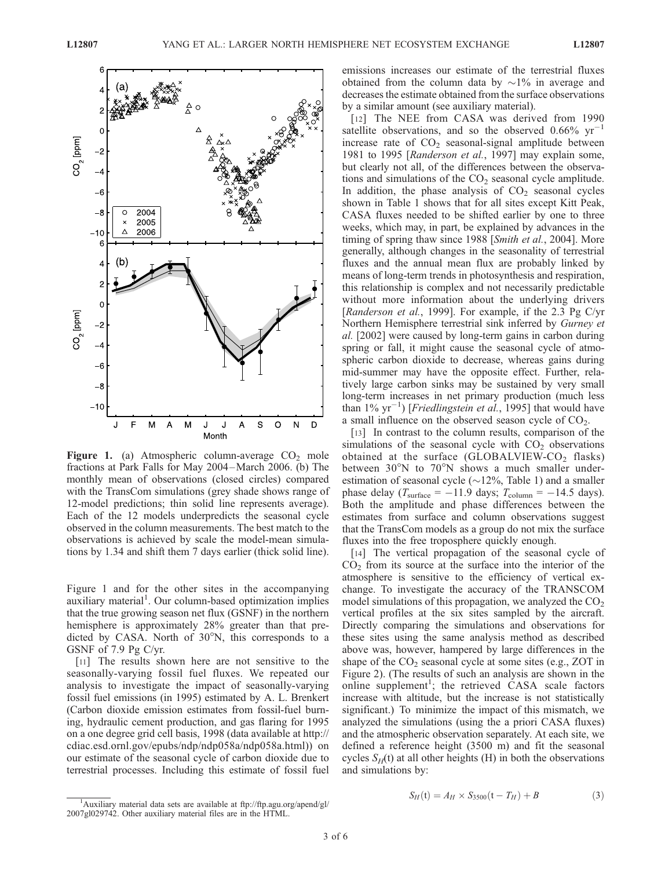

Figure 1. (a) Atmospheric column-average  $CO<sub>2</sub>$  mole fractions at Park Falls for May 2004–March 2006. (b) The monthly mean of observations (closed circles) compared with the TransCom simulations (grey shade shows range of 12-model predictions; thin solid line represents average). Each of the 12 models underpredicts the seasonal cycle observed in the column measurements. The best match to the observations is achieved by scale the model-mean simulations by 1.34 and shift them 7 days earlier (thick solid line).

Figure 1 and for the other sites in the accompanying auxiliary material<sup>1</sup>. Our column-based optimization implies that the true growing season net flux (GSNF) in the northern hemisphere is approximately 28% greater than that predicted by CASA. North of  $30^{\circ}$ N, this corresponds to a GSNF of 7.9 Pg C/yr.

[11] The results shown here are not sensitive to the seasonally-varying fossil fuel fluxes. We repeated our analysis to investigate the impact of seasonally-varying fossil fuel emissions (in 1995) estimated by A. L. Brenkert (Carbon dioxide emission estimates from fossil-fuel burning, hydraulic cement production, and gas flaring for 1995 on a one degree grid cell basis, 1998 (data available at http:// cdiac.esd.ornl.gov/epubs/ndp/ndp058a/ndp058a.html)) on our estimate of the seasonal cycle of carbon dioxide due to terrestrial processes. Including this estimate of fossil fuel

emissions increases our estimate of the terrestrial fluxes obtained from the column data by  $\sim$ 1% in average and decreases the estimate obtained from the surface observations by a similar amount (see auxiliary material).

[12] The NEE from CASA was derived from 1990 satellite observations, and so the observed  $0.66\%$  yr<sup>-1</sup> increase rate of  $CO<sub>2</sub>$  seasonal-signal amplitude between 1981 to 1995 [Randerson et al., 1997] may explain some, but clearly not all, of the differences between the observations and simulations of the  $CO<sub>2</sub>$  seasonal cycle amplitude. In addition, the phase analysis of  $CO<sub>2</sub>$  seasonal cycles shown in Table 1 shows that for all sites except Kitt Peak, CASA fluxes needed to be shifted earlier by one to three weeks, which may, in part, be explained by advances in the timing of spring thaw since 1988 [Smith et al., 2004]. More generally, although changes in the seasonality of terrestrial fluxes and the annual mean flux are probably linked by means of long-term trends in photosynthesis and respiration, this relationship is complex and not necessarily predictable without more information about the underlying drivers [Randerson et al., 1999]. For example, if the 2.3 Pg C/yr Northern Hemisphere terrestrial sink inferred by Gurney et al. [2002] were caused by long-term gains in carbon during spring or fall, it might cause the seasonal cycle of atmospheric carbon dioxide to decrease, whereas gains during mid-summer may have the opposite effect. Further, relatively large carbon sinks may be sustained by very small long-term increases in net primary production (much less than  $1\%$  yr<sup>-1</sup>) [*Friedlingstein et al.*, 1995] that would have a small influence on the observed season cycle of  $CO<sub>2</sub>$ .

[13] In contrast to the column results, comparison of the simulations of the seasonal cycle with  $CO<sub>2</sub>$  observations obtained at the surface (GLOBALVIEW-CO<sub>2</sub> flasks) between  $30^{\circ}$ N to  $70^{\circ}$ N shows a much smaller underestimation of seasonal cycle  $(\sim 12\%, \text{ Table 1})$  and a smaller phase delay ( $T_{\text{surface}} = -11.9$  days;  $T_{\text{column}} = -14.5$  days). Both the amplitude and phase differences between the estimates from surface and column observations suggest that the TransCom models as a group do not mix the surface fluxes into the free troposphere quickly enough.

[14] The vertical propagation of the seasonal cycle of  $CO<sub>2</sub>$  from its source at the surface into the interior of the atmosphere is sensitive to the efficiency of vertical exchange. To investigate the accuracy of the TRANSCOM model simulations of this propagation, we analyzed the  $CO<sub>2</sub>$ vertical profiles at the six sites sampled by the aircraft. Directly comparing the simulations and observations for these sites using the same analysis method as described above was, however, hampered by large differences in the shape of the  $CO<sub>2</sub>$  seasonal cycle at some sites (e.g., ZOT in Figure 2). (The results of such an analysis are shown in the online supplement<sup>1</sup>; the retrieved CASA scale factors increase with altitude, but the increase is not statistically significant.) To minimize the impact of this mismatch, we analyzed the simulations (using the a priori CASA fluxes) and the atmospheric observation separately. At each site, we defined a reference height (3500 m) and fit the seasonal cycles  $S_H(t)$  at all other heights (H) in both the observations and simulations by:

$$
S_H(t) = A_H \times S_{3500}(t - T_H) + B \tag{3}
$$

<sup>&</sup>lt;sup>1</sup>Auxiliary material data sets are available at ftp://ftp.agu.org/apend/gl/ 2007gl029742. Other auxiliary material files are in the HTML.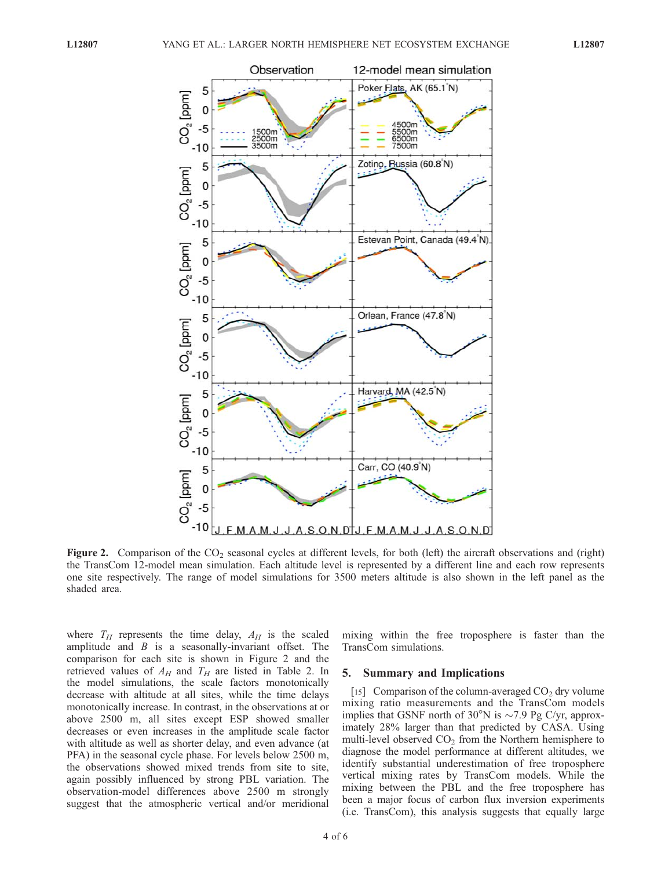

**Figure 2.** Comparison of the  $CO_2$  seasonal cycles at different levels, for both (left) the aircraft observations and (right) the TransCom 12-model mean simulation. Each altitude level is represented by a different line and each row represents one site respectively. The range of model simulations for 3500 meters altitude is also shown in the left panel as the shaded area.

where  $T_H$  represents the time delay,  $A_H$  is the scaled amplitude and  $B$  is a seasonally-invariant offset. The comparison for each site is shown in Figure 2 and the retrieved values of  $A_H$  and  $T_H$  are listed in Table 2. In the model simulations, the scale factors monotonically decrease with altitude at all sites, while the time delays monotonically increase. In contrast, in the observations at or above 2500 m, all sites except ESP showed smaller decreases or even increases in the amplitude scale factor with altitude as well as shorter delay, and even advance (at PFA) in the seasonal cycle phase. For levels below 2500 m, the observations showed mixed trends from site to site, again possibly influenced by strong PBL variation. The observation-model differences above 2500 m strongly suggest that the atmospheric vertical and/or meridional mixing within the free troposphere is faster than the TransCom simulations.

#### 5. Summary and Implications

[15] Comparison of the column-averaged  $CO<sub>2</sub>$  dry volume mixing ratio measurements and the TransCom models implies that GSNF north of  $30^{\circ}$ N is  $\sim$ 7.9 Pg C/yr, approximately 28% larger than that predicted by CASA. Using multi-level observed  $CO<sub>2</sub>$  from the Northern hemisphere to diagnose the model performance at different altitudes, we identify substantial underestimation of free troposphere vertical mixing rates by TransCom models. While the mixing between the PBL and the free troposphere has been a major focus of carbon flux inversion experiments (i.e. TransCom), this analysis suggests that equally large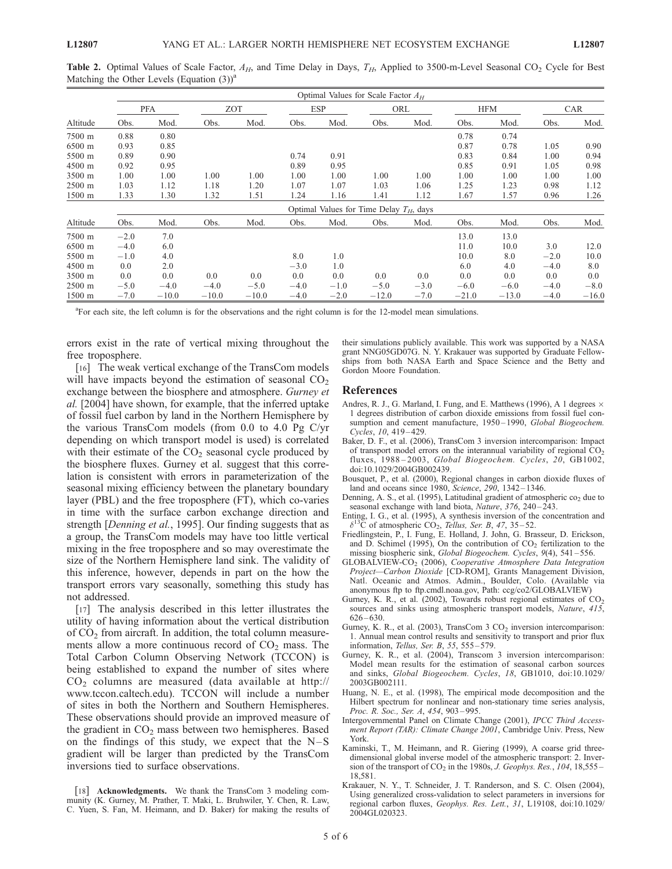|          | Optimal Values for Scale Factor $A_H$      |         |            |         |            |        |         |        |            |         |            |         |
|----------|--------------------------------------------|---------|------------|---------|------------|--------|---------|--------|------------|---------|------------|---------|
| Altitude | <b>PFA</b>                                 |         | <b>ZOT</b> |         | <b>ESP</b> |        | ORL     |        | <b>HFM</b> |         | <b>CAR</b> |         |
|          | Obs.                                       | Mod.    | Obs.       | Mod.    | Obs.       | Mod.   | Obs.    | Mod.   | Obs.       | Mod.    | Obs.       | Mod.    |
| 7500 m   | 0.88                                       | 0.80    |            |         |            |        |         |        | 0.78       | 0.74    |            |         |
| 6500 m   | 0.93                                       | 0.85    |            |         |            |        |         |        | 0.87       | 0.78    | 1.05       | 0.90    |
| 5500 m   | 0.89                                       | 0.90    |            |         | 0.74       | 0.91   |         |        | 0.83       | 0.84    | 1.00       | 0.94    |
| 4500 m   | 0.92                                       | 0.95    |            |         | 0.89       | 0.95   |         |        | 0.85       | 0.91    | 1.05       | 0.98    |
| 3500 m   | 1.00                                       | 1.00    | 1.00       | 1.00    | 1.00       | 1.00   | 1.00    | 1.00   | 1.00       | 1.00    | 1.00       | 1.00    |
| 2500 m   | 1.03                                       | 1.12    | 1.18       | 1.20    | 1.07       | 1.07   | 1.03    | 1.06   | 1.25       | 1.23    | 0.98       | 1.12    |
| 1500 m   | 1.33                                       | 1.30    | 1.32       | 1.51    | 1.24       | 1.16   | 1.41    | 1.12   | 1.67       | 1.57    | 0.96       | 1.26    |
|          | Optimal Values for Time Delay $T_H$ , days |         |            |         |            |        |         |        |            |         |            |         |
| Altitude | Obs.                                       | Mod.    | Obs.       | Mod.    | Obs.       | Mod.   | Obs.    | Mod.   | Obs.       | Mod.    | Obs.       | Mod.    |
| 7500 m   | $-2.0$                                     | 7.0     |            |         |            |        |         |        | 13.0       | 13.0    |            |         |
| 6500 m   | $-4.0$                                     | 6.0     |            |         |            |        |         |        | 11.0       | 10.0    | 3.0        | 12.0    |
| 5500 m   | $-1.0$                                     | 4.0     |            |         | 8.0        | 1.0    |         |        | 10.0       | 8.0     | $-2.0$     | 10.0    |
| 4500 m   | 0.0                                        | 2.0     |            |         | $-3.0$     | 1.0    |         |        | 6.0        | 4.0     | $-4.0$     | 8.0     |
| 3500 m   | 0.0                                        | 0.0     | 0.0        | 0.0     | 0.0        | 0.0    | 0.0     | 0.0    | 0.0        | 0.0     | 0.0        | 0.0     |
| 2500 m   | $-5.0$                                     | $-4.0$  | $-4.0$     | $-5.0$  | $-4.0$     | $-1.0$ | $-5.0$  | $-3.0$ | $-6.0$     | $-6.0$  | $-4.0$     | $-8.0$  |
| 1500 m   | $-7.0$                                     | $-10.0$ | $-10.0$    | $-10.0$ | $-4.0$     | $-2.0$ | $-12.0$ | $-7.0$ | $-21.0$    | $-13.0$ | $-4.0$     | $-16.0$ |

Table 2. Optimal Values of Scale Factor,  $A_H$ , and Time Delay in Days,  $T_H$ , Applied to 3500-m-Level Seasonal CO<sub>2</sub> Cycle for Best Matching the Other Levels (Equation  $(3)$ )<sup>a</sup>

a For each site, the left column is for the observations and the right column is for the 12-model mean simulations.

errors exist in the rate of vertical mixing throughout the free troposphere.

[16] The weak vertical exchange of the TransCom models will have impacts beyond the estimation of seasonal  $CO<sub>2</sub>$ exchange between the biosphere and atmosphere. Gurney et al. [2004] have shown, for example, that the inferred uptake of fossil fuel carbon by land in the Northern Hemisphere by the various TransCom models (from 0.0 to 4.0 Pg C/yr depending on which transport model is used) is correlated with their estimate of the  $CO<sub>2</sub>$  seasonal cycle produced by the biosphere fluxes. Gurney et al. suggest that this correlation is consistent with errors in parameterization of the seasonal mixing efficiency between the planetary boundary layer (PBL) and the free troposphere (FT), which co-varies in time with the surface carbon exchange direction and strength [Denning et al., 1995]. Our finding suggests that as a group, the TransCom models may have too little vertical mixing in the free troposphere and so may overestimate the size of the Northern Hemisphere land sink. The validity of this inference, however, depends in part on the how the transport errors vary seasonally, something this study has not addressed.

[17] The analysis described in this letter illustrates the utility of having information about the vertical distribution of  $CO<sub>2</sub>$  from aircraft. In addition, the total column measurements allow a more continuous record of  $CO<sub>2</sub>$  mass. The Total Carbon Column Observing Network (TCCON) is being established to expand the number of sites where  $CO<sub>2</sub>$  columns are measured (data available at http:// www.tccon.caltech.edu). TCCON will include a number of sites in both the Northern and Southern Hemispheres. These observations should provide an improved measure of the gradient in  $CO<sub>2</sub>$  mass between two hemispheres. Based on the findings of this study, we expect that the  $N-S$ gradient will be larger than predicted by the TransCom inversions tied to surface observations.

their simulations publicly available. This work was supported by a NASA grant NNG05GD07G. N. Y. Krakauer was supported by Graduate Fellowships from both NASA Earth and Space Science and the Betty and Gordon Moore Foundation.

#### References

- Andres, R. J., G. Marland, I. Fung, and E. Matthews (1996), A 1 degrees  $\times$ 1 degrees distribution of carbon dioxide emissions from fossil fuel consumption and cement manufacture, 1950-1990, Global Biogeochem. Cycles, 10, 419–429.
- Baker, D. F., et al. (2006), TransCom 3 inversion intercomparison: Impact of transport model errors on the interannual variability of regional  $CO<sub>2</sub>$ fluxes, 1988-2003, Global Biogeochem. Cycles, 20, GB1002, doi:10.1029/2004GB002439.
- Bousquet, P., et al. (2000), Regional changes in carbon dioxide fluxes of land and oceans since 1980, Science, 290, 1342 – 1346.
- Denning, A. S., et al. (1995), Latitudinal gradient of atmospheric  $\cos_2$  due to seasonal exchange with land biota, Nature, 376, 240-243.
- Enting, I. G., et al. (1995), A synthesis inversion of the concentration and  $\delta^{13}$ C of atmospheric CO<sub>2</sub>, Tellus, Ser. B, 47, 35–52.
- Friedlingstein, P., I. Fung, E. Holland, J. John, G. Brasseur, D. Erickson, and D. Schimel (1995), On the contribution of  $CO<sub>2</sub>$  fertilization to the missing biospheric sink, Global Biogeochem. Cycles, 9(4), 541 – 556.
- GLOBALVIEW-CO<sub>2</sub> (2006), Cooperative Atmosphere Data Integration Project—Carbon Dioxide [CD-ROM], Grants Management Division, Natl. Oceanic and Atmos. Admin., Boulder, Colo. (Available via anonymous ftp to ftp.cmdl.noaa.gov, Path: ccg/co2/GLOBALVIEW)
- Gurney, K. R., et al. (2002), Towards robust regional estimates of  $CO<sub>2</sub>$ sources and sinks using atmospheric transport models, Nature, 415,  $626 - 630.$
- Gurney, K. R., et al. (2003), TransCom  $3$  CO<sub>2</sub> inversion intercomparison: 1. Annual mean control results and sensitivity to transport and prior flux information, Tellus, Ser. B, 55, 555 – 579.
- Gurney, K. R., et al. (2004), Transcom 3 inversion intercomparison: Model mean results for the estimation of seasonal carbon sources and sinks, Global Biogeochem. Cycles, 18, GB1010, doi:10.1029/ 2003GB002111.
- Huang, N. E., et al. (1998), The empirical mode decomposition and the Hilbert spectrum for nonlinear and non-stationary time series analysis, Proc. R. Soc., Ser. A, 454, 903 – 995.
- Intergovernmental Panel on Climate Change (2001), IPCC Third Accessment Report (TAR): Climate Change 2001, Cambridge Univ. Press, New York.
- Kaminski, T., M. Heimann, and R. Giering (1999), A coarse grid threedimensional global inverse model of the atmospheric transport: 2. Inversion of the transport of  $CO<sub>2</sub>$  in the 1980s, J. Geophys. Res., 104, 18,555 – 18,581.
- Krakauer, N. Y., T. Schneider, J. T. Randerson, and S. C. Olsen (2004), Using generalized cross-validation to select parameters in inversions for regional carbon fluxes, Geophys. Res. Lett., 31, L19108, doi:10.1029/ 2004GL020323.

<sup>[18]</sup> **Acknowledgments.** We thank the TransCom 3 modeling community (K. Gurney, M. Prather, T. Maki, L. Bruhwiler, Y. Chen, R. Law, C. Yuen, S. Fan, M. Heimann, and D. Baker) for making the results of